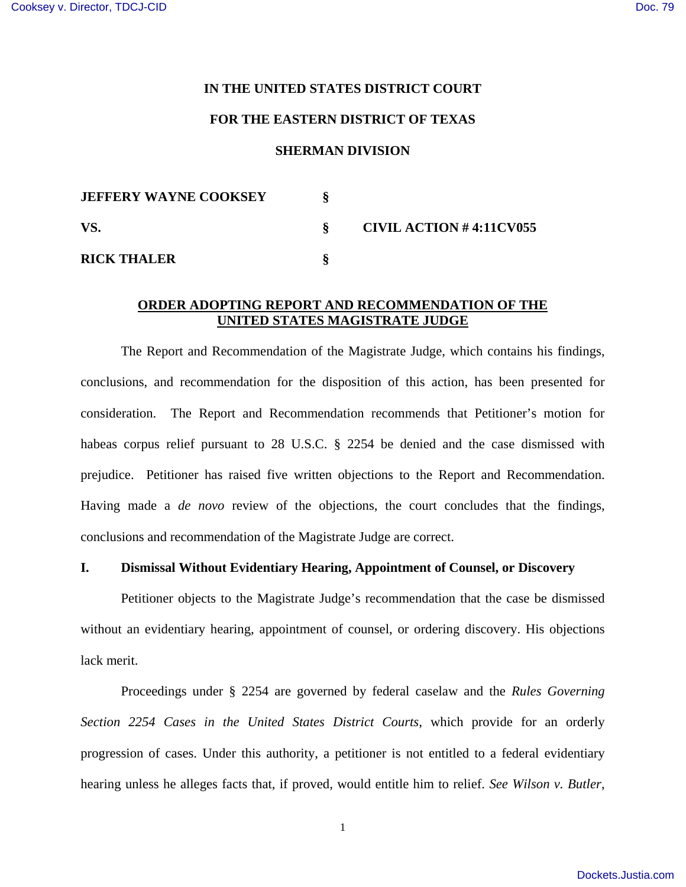#### **IN THE UNITED STATES DISTRICT COURT**

### **FOR THE EASTERN DISTRICT OF TEXAS**

#### **SHERMAN DIVISION**

| <b>JEFFERY WAYNE COOKSEY</b> |                         |
|------------------------------|-------------------------|
| VS.                          | CIVIL ACTION #4:11CV055 |
| <b>RICK THALER</b>           |                         |

### **ORDER ADOPTING REPORT AND RECOMMENDATION OF THE UNITED STATES MAGISTRATE JUDGE**

The Report and Recommendation of the Magistrate Judge, which contains his findings, conclusions, and recommendation for the disposition of this action, has been presented for consideration. The Report and Recommendation recommends that Petitioner's motion for habeas corpus relief pursuant to 28 U.S.C. § 2254 be denied and the case dismissed with prejudice. Petitioner has raised five written objections to the Report and Recommendation. Having made a *de novo* review of the objections, the court concludes that the findings, conclusions and recommendation of the Magistrate Judge are correct.

# **I. Dismissal Without Evidentiary Hearing, Appointment of Counsel, or Discovery**

Petitioner objects to the Magistrate Judge's recommendation that the case be dismissed without an evidentiary hearing, appointment of counsel, or ordering discovery. His objections lack merit.

Proceedings under § 2254 are governed by federal caselaw and the *Rules Governing Section 2254 Cases in the United States District Courts*, which provide for an orderly progression of cases. Under this authority, a petitioner is not entitled to a federal evidentiary hearing unless he alleges facts that, if proved, would entitle him to relief. *See Wilson v. Butler*,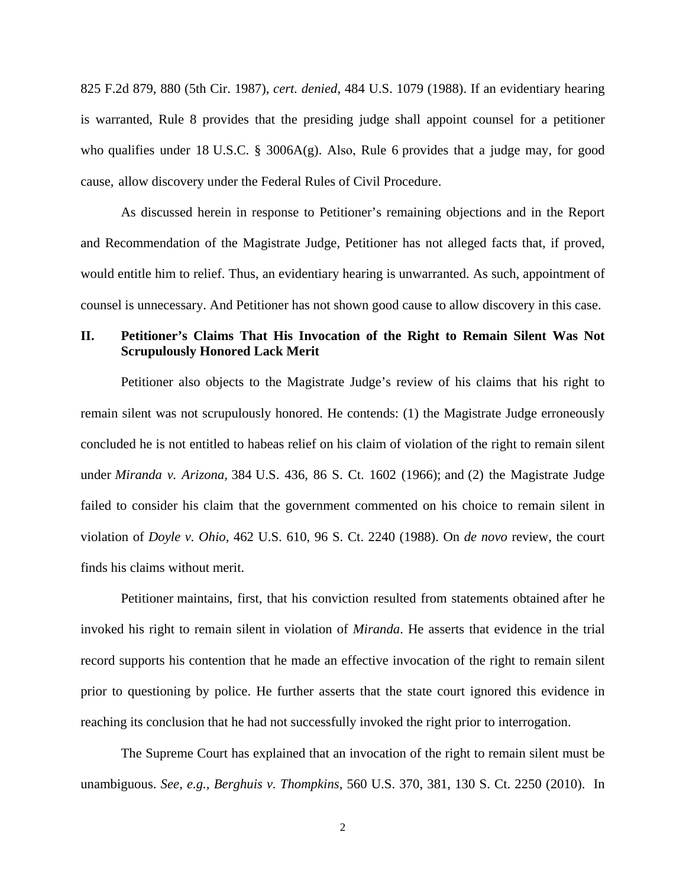825 F.2d 879, 880 (5th Cir. 1987), *cert. denied*, 484 U.S. 1079 (1988). If an evidentiary hearing is warranted, Rule 8 provides that the presiding judge shall appoint counsel for a petitioner who qualifies under 18 U.S.C. § 3006A(g). Also, Rule 6 provides that a judge may, for good cause, allow discovery under the Federal Rules of Civil Procedure.

As discussed herein in response to Petitioner's remaining objections and in the Report and Recommendation of the Magistrate Judge, Petitioner has not alleged facts that, if proved, would entitle him to relief. Thus, an evidentiary hearing is unwarranted. As such, appointment of counsel is unnecessary. And Petitioner has not shown good cause to allow discovery in this case.

# **II. Petitioner's Claims That His Invocation of the Right to Remain Silent Was Not Scrupulously Honored Lack Merit**

Petitioner also objects to the Magistrate Judge's review of his claims that his right to remain silent was not scrupulously honored. He contends: (1) the Magistrate Judge erroneously concluded he is not entitled to habeas relief on his claim of violation of the right to remain silent under *Miranda v. Arizona,* 384 U.S. 436, 86 S. Ct. 1602 (1966); and (2) the Magistrate Judge failed to consider his claim that the government commented on his choice to remain silent in violation of *Doyle v. Ohio,* 462 U.S. 610, 96 S. Ct. 2240 (1988). On *de novo* review, the court finds his claims without merit.

Petitioner maintains, first, that his conviction resulted from statements obtained after he invoked his right to remain silent in violation of *Miranda*. He asserts that evidence in the trial record supports his contention that he made an effective invocation of the right to remain silent prior to questioning by police. He further asserts that the state court ignored this evidence in reaching its conclusion that he had not successfully invoked the right prior to interrogation.

The Supreme Court has explained that an invocation of the right to remain silent must be unambiguous. *See, e.g., Berghuis v. Thompkins,* 560 U.S. 370, 381, 130 S. Ct. 2250 (2010). In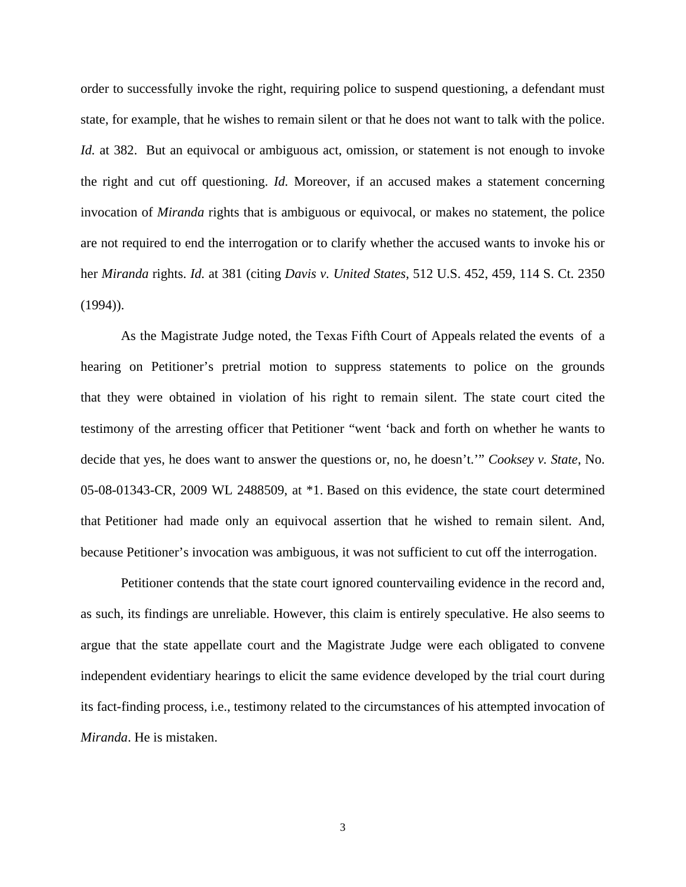order to successfully invoke the right, requiring police to suspend questioning, a defendant must state, for example, that he wishes to remain silent or that he does not want to talk with the police. *Id.* at 382. But an equivocal or ambiguous act, omission, or statement is not enough to invoke the right and cut off questioning. *Id.* Moreover, if an accused makes a statement concerning invocation of *Miranda* rights that is ambiguous or equivocal, or makes no statement, the police are not required to end the interrogation or to clarify whether the accused wants to invoke his or her *Miranda* rights. *Id.* at 381 (citing *Davis v. United States*, 512 U.S. 452, 459, 114 S. Ct. 2350  $(1994)$ ).

As the Magistrate Judge noted, the Texas Fifth Court of Appeals related the events of a hearing on Petitioner's pretrial motion to suppress statements to police on the grounds that they were obtained in violation of his right to remain silent. The state court cited the testimony of the arresting officer that Petitioner "went 'back and forth on whether he wants to decide that yes, he does want to answer the questions or, no, he doesn't.'" *Cooksey v. State*, No. 05-08-01343-CR, 2009 WL 2488509, at \*1. Based on this evidence, the state court determined that Petitioner had made only an equivocal assertion that he wished to remain silent. And, because Petitioner's invocation was ambiguous, it was not sufficient to cut off the interrogation.

Petitioner contends that the state court ignored countervailing evidence in the record and, as such, its findings are unreliable. However, this claim is entirely speculative. He also seems to argue that the state appellate court and the Magistrate Judge were each obligated to convene independent evidentiary hearings to elicit the same evidence developed by the trial court during its fact-finding process, i.e., testimony related to the circumstances of his attempted invocation of *Miranda*. He is mistaken.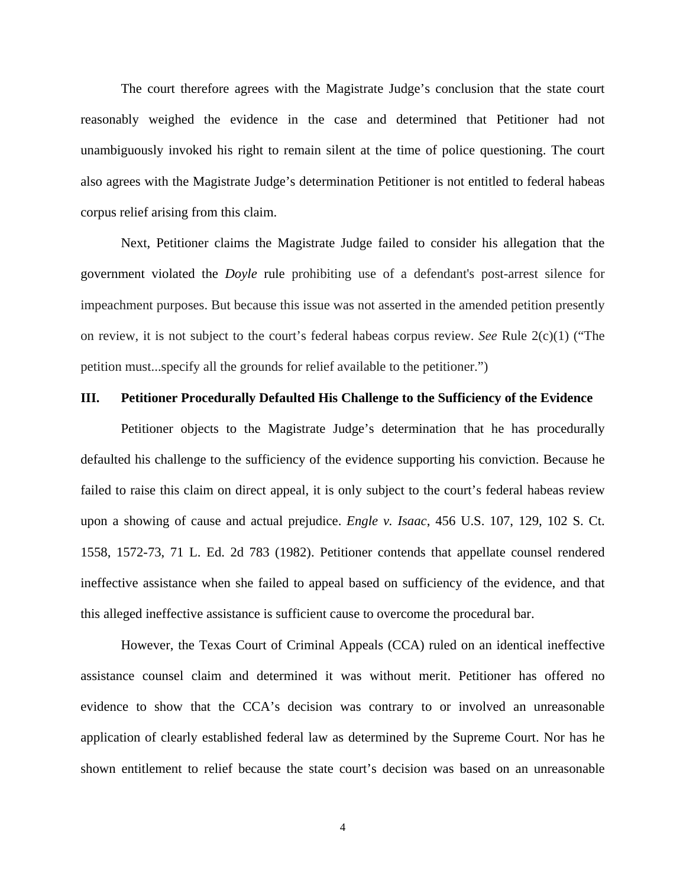The court therefore agrees with the Magistrate Judge's conclusion that the state court reasonably weighed the evidence in the case and determined that Petitioner had not unambiguously invoked his right to remain silent at the time of police questioning. The court also agrees with the Magistrate Judge's determination Petitioner is not entitled to federal habeas corpus relief arising from this claim.

Next, Petitioner claims the Magistrate Judge failed to consider his allegation that the government violated the *Doyle* rule prohibiting use of a defendant's post-arrest silence for impeachment purposes. But because this issue was not asserted in the amended petition presently on review, it is not subject to the court's federal habeas corpus review. *See* Rule 2(c)(1) ("The petition must...specify all the grounds for relief available to the petitioner.")

#### **III. Petitioner Procedurally Defaulted His Challenge to the Sufficiency of the Evidence**

Petitioner objects to the Magistrate Judge's determination that he has procedurally defaulted his challenge to the sufficiency of the evidence supporting his conviction. Because he failed to raise this claim on direct appeal, it is only subject to the court's federal habeas review upon a showing of cause and actual prejudice. *Engle v. Isaac*, 456 U.S. 107, 129, 102 S. Ct. 1558, 1572-73, 71 L. Ed. 2d 783 (1982). Petitioner contends that appellate counsel rendered ineffective assistance when she failed to appeal based on sufficiency of the evidence, and that this alleged ineffective assistance is sufficient cause to overcome the procedural bar.

However, the Texas Court of Criminal Appeals (CCA) ruled on an identical ineffective assistance counsel claim and determined it was without merit. Petitioner has offered no evidence to show that the CCA's decision was contrary to or involved an unreasonable application of clearly established federal law as determined by the Supreme Court. Nor has he shown entitlement to relief because the state court's decision was based on an unreasonable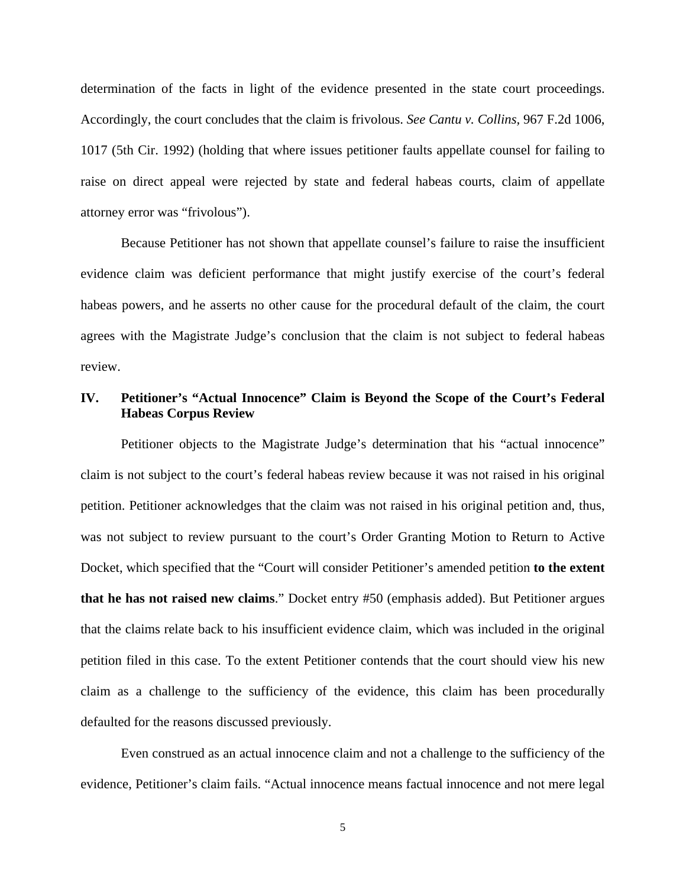determination of the facts in light of the evidence presented in the state court proceedings. Accordingly, the court concludes that the claim is frivolous. *See Cantu v. Collins,* 967 F.2d 1006, 1017 (5th Cir. 1992) (holding that where issues petitioner faults appellate counsel for failing to raise on direct appeal were rejected by state and federal habeas courts, claim of appellate attorney error was "frivolous").

Because Petitioner has not shown that appellate counsel's failure to raise the insufficient evidence claim was deficient performance that might justify exercise of the court's federal habeas powers, and he asserts no other cause for the procedural default of the claim, the court agrees with the Magistrate Judge's conclusion that the claim is not subject to federal habeas review.

# **IV. Petitioner's "Actual Innocence" Claim is Beyond the Scope of the Court's Federal Habeas Corpus Review**

Petitioner objects to the Magistrate Judge's determination that his "actual innocence" claim is not subject to the court's federal habeas review because it was not raised in his original petition. Petitioner acknowledges that the claim was not raised in his original petition and, thus, was not subject to review pursuant to the court's Order Granting Motion to Return to Active Docket, which specified that the "Court will consider Petitioner's amended petition **to the extent that he has not raised new claims**." Docket entry #50 (emphasis added). But Petitioner argues that the claims relate back to his insufficient evidence claim, which was included in the original petition filed in this case. To the extent Petitioner contends that the court should view his new claim as a challenge to the sufficiency of the evidence, this claim has been procedurally defaulted for the reasons discussed previously.

Even construed as an actual innocence claim and not a challenge to the sufficiency of the evidence, Petitioner's claim fails. "Actual innocence means factual innocence and not mere legal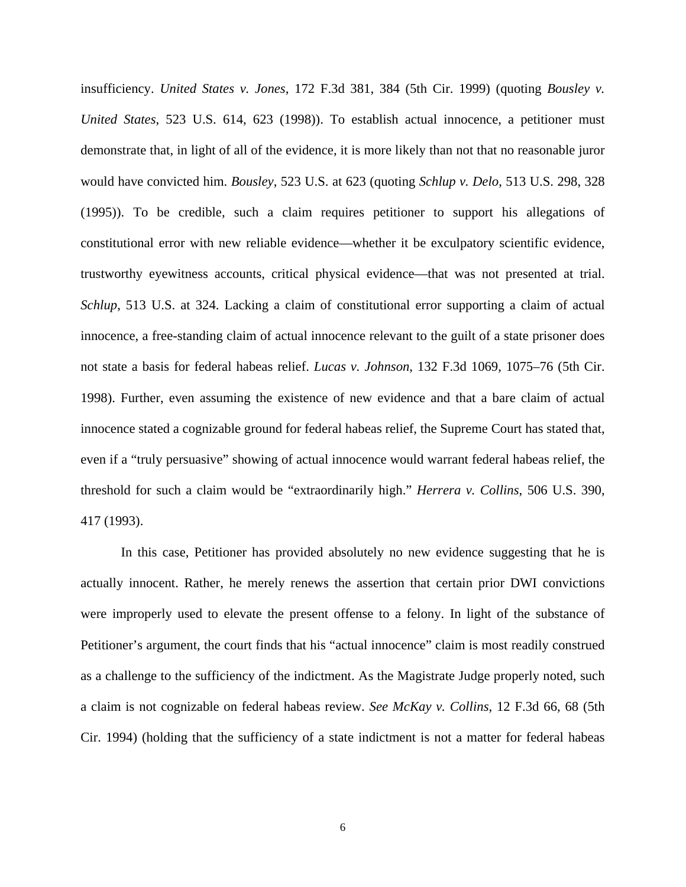insufficiency. *United States v. Jones*, 172 F.3d 381, 384 (5th Cir. 1999) (quoting *Bousley v. United States*, 523 U.S. 614, 623 (1998)). To establish actual innocence, a petitioner must demonstrate that, in light of all of the evidence, it is more likely than not that no reasonable juror would have convicted him. *Bousley*, 523 U.S. at 623 (quoting *Schlup v. Delo*, 513 U.S. 298, 328 (1995)). To be credible, such a claim requires petitioner to support his allegations of constitutional error with new reliable evidence—whether it be exculpatory scientific evidence, trustworthy eyewitness accounts, critical physical evidence—that was not presented at trial. *Schlup*, 513 U.S. at 324. Lacking a claim of constitutional error supporting a claim of actual innocence, a free-standing claim of actual innocence relevant to the guilt of a state prisoner does not state a basis for federal habeas relief. *Lucas v. Johnson*, 132 F.3d 1069, 1075–76 (5th Cir. 1998). Further, even assuming the existence of new evidence and that a bare claim of actual innocence stated a cognizable ground for federal habeas relief, the Supreme Court has stated that, even if a "truly persuasive" showing of actual innocence would warrant federal habeas relief, the threshold for such a claim would be "extraordinarily high." *Herrera v. Collins*, 506 U.S. 390, 417 (1993).

In this case, Petitioner has provided absolutely no new evidence suggesting that he is actually innocent. Rather, he merely renews the assertion that certain prior DWI convictions were improperly used to elevate the present offense to a felony. In light of the substance of Petitioner's argument, the court finds that his "actual innocence" claim is most readily construed as a challenge to the sufficiency of the indictment. As the Magistrate Judge properly noted, such a claim is not cognizable on federal habeas review. *See McKay v. Collins*, 12 F.3d 66, 68 (5th Cir. 1994) (holding that the sufficiency of a state indictment is not a matter for federal habeas